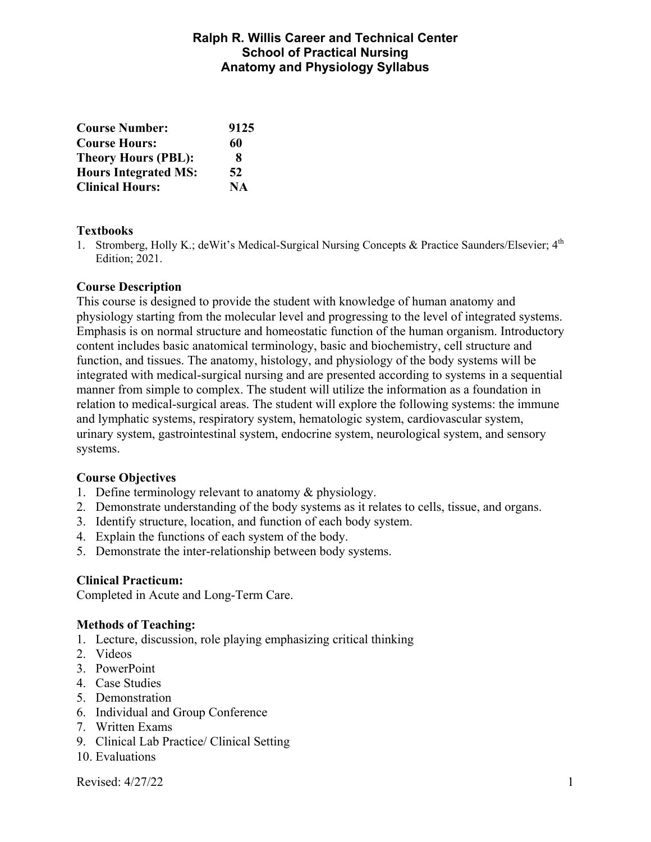## **Ralph R. Willis Career and Technical Center School of Practical Nursing Anatomy and Physiology Syllabus**

| <b>Course Number:</b>       | 9125      |
|-----------------------------|-----------|
| <b>Course Hours:</b>        | 60        |
| <b>Theory Hours (PBL):</b>  | 8         |
| <b>Hours Integrated MS:</b> | 52        |
| <b>Clinical Hours:</b>      | <b>NA</b> |

#### **Textbooks**

1. Stromberg, Holly K.; deWit's Medical-Surgical Nursing Concepts & Practice Saunders/Elsevier; 4<sup>th</sup> Edition; 2021.

#### **Course Description**

This course is designed to provide the student with knowledge of human anatomy and physiology starting from the molecular level and progressing to the level of integrated systems. Emphasis is on normal structure and homeostatic function of the human organism. Introductory content includes basic anatomical terminology, basic and biochemistry, cell structure and function, and tissues. The anatomy, histology, and physiology of the body systems will be integrated with medical-surgical nursing and are presented according to systems in a sequential manner from simple to complex. The student will utilize the information as a foundation in relation to medical-surgical areas. The student will explore the following systems: the immune and lymphatic systems, respiratory system, hematologic system, cardiovascular system, urinary system, gastrointestinal system, endocrine system, neurological system, and sensory systems.

#### **Course Objectives**

- 1. Define terminology relevant to anatomy & physiology.
- 2. Demonstrate understanding of the body systems as it relates to cells, tissue, and organs.
- 3. Identify structure, location, and function of each body system.
- 4. Explain the functions of each system of the body.
- 5. Demonstrate the inter-relationship between body systems.

### **Clinical Practicum:**

Completed in Acute and Long-Term Care.

### **Methods of Teaching:**

- 1. Lecture, discussion, role playing emphasizing critical thinking
- 2. Videos
- 3. PowerPoint
- 4. Case Studies
- 5. Demonstration
- 6. Individual and Group Conference
- 7. Written Exams
- 9. Clinical Lab Practice/ Clinical Setting
- 10. Evaluations

Revised:  $4/27/22$  1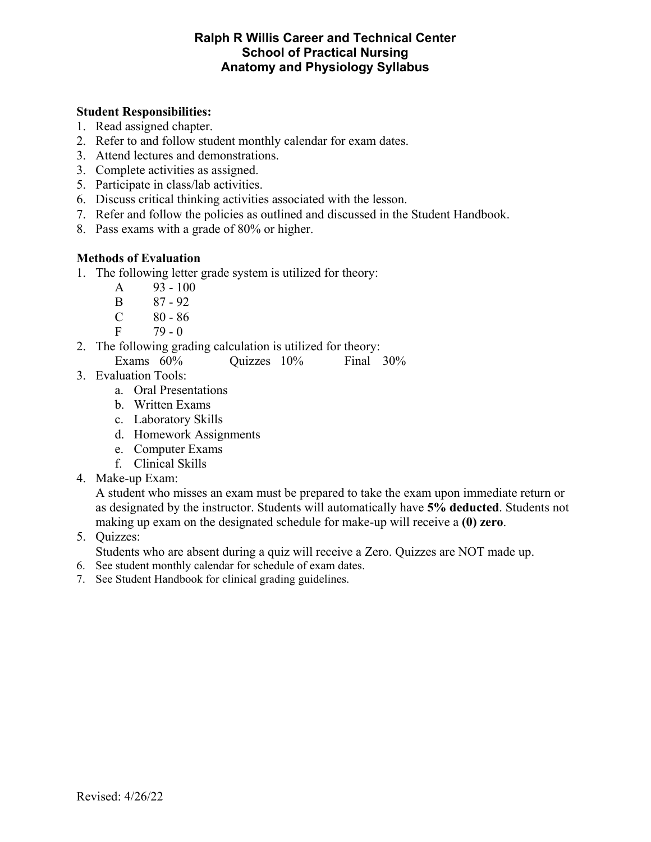### **Ralph R Willis Career and Technical Center School of Practical Nursing Anatomy and Physiology Syllabus**

### **Student Responsibilities:**

- 1. Read assigned chapter.
- 2. Refer to and follow student monthly calendar for exam dates.
- 3. Attend lectures and demonstrations.
- 3. Complete activities as assigned.
- 5. Participate in class/lab activities.
- 6. Discuss critical thinking activities associated with the lesson.
- 7. Refer and follow the policies as outlined and discussed in the Student Handbook.
- 8. Pass exams with a grade of 80% or higher.

## **Methods of Evaluation**

- 1. The following letter grade system is utilized for theory:
	- A 93 100
	- B 87 92
	- $C \t 80 86$
	- $F = 79 0$
- 2. The following grading calculation is utilized for theory: Exams 60% Quizzes 10% Final 30%
- 3. Evaluation Tools:
	- a. Oral Presentations
	- b. Written Exams
	- c. Laboratory Skills
	- d. Homework Assignments
	- e. Computer Exams
	- f. Clinical Skills
- 4. Make-up Exam:

A student who misses an exam must be prepared to take the exam upon immediate return or as designated by the instructor. Students will automatically have **5% deducted**. Students not making up exam on the designated schedule for make-up will receive a **(0) zero**.

5. Quizzes:

Students who are absent during a quiz will receive a Zero. Quizzes are NOT made up.

- 6. See student monthly calendar for schedule of exam dates.
- 7. See Student Handbook for clinical grading guidelines.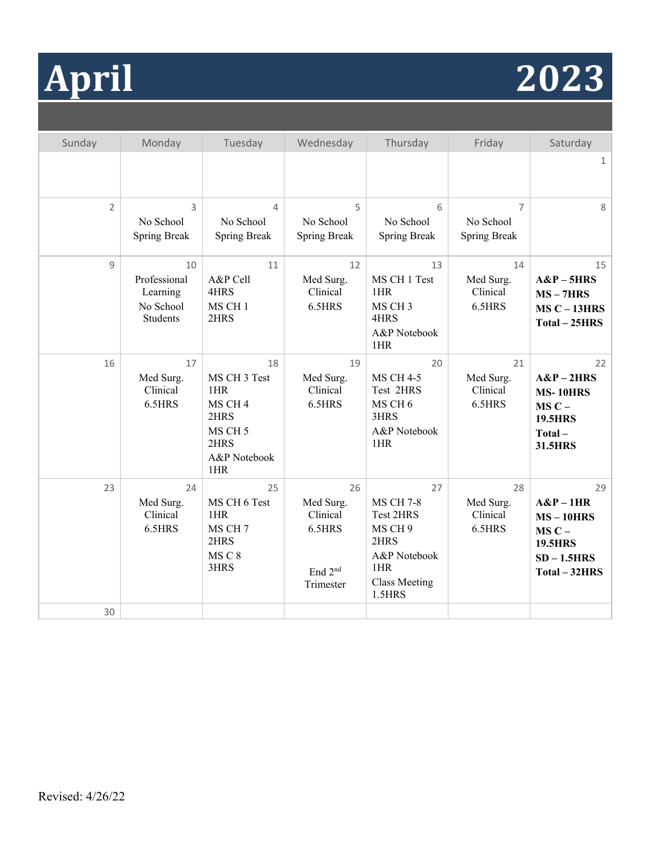# **April 2023**

| Sunday         | Monday                | Tuesday                    | Wednesday             | Thursday                       | Friday                | Saturday                       |
|----------------|-----------------------|----------------------------|-----------------------|--------------------------------|-----------------------|--------------------------------|
|                |                       |                            |                       |                                |                       | $\mathbf{1}$                   |
|                |                       |                            |                       |                                |                       |                                |
| $\overline{2}$ | 3                     | $\overline{4}$             | 5                     | 6                              | $\overline{7}$        | 8                              |
|                | No School             | No School                  | No School             | No School                      | No School             |                                |
|                | <b>Spring Break</b>   | <b>Spring Break</b>        | <b>Spring Break</b>   | <b>Spring Break</b>            | <b>Spring Break</b>   |                                |
| 9              | 10                    | 11                         | 12                    | 13                             | 14                    | 15                             |
|                | Professional          | A&P Cell                   | Med Surg.             | MS CH 1 Test                   | Med Surg.             | $A&P-5HRS$                     |
|                | Learning              | 4HRS                       | Clinical              | 1HR                            | Clinical              | $MS - 7HRS$                    |
|                | No School<br>Students | MS CH <sub>1</sub><br>2HRS | 6.5HRS                | MS CH <sub>3</sub><br>4HRS     | 6.5HRS                | $MSC - 13HRS$<br>Total - 25HRS |
|                |                       |                            |                       | A&P Notebook<br>1HR            |                       |                                |
| 16             | 17                    | 18                         | 19                    | 20                             | 21                    | 22                             |
|                | Med Surg.             | MS CH 3 Test               | Med Surg.             | <b>MS CH 4-5</b>               | Med Surg.             | $A\&P-2HRS$                    |
|                | Clinical              | 1HR                        | Clinical              | Test 2HRS                      | Clinical              | <b>MS-10HRS</b>                |
|                | 6.5HRS                | MS CH <sub>4</sub><br>2HRS | 6.5HRS                | MS CH 6<br>3HRS                | 6.5HRS                | $MSC -$<br><b>19.5HRS</b>      |
|                |                       | MS CH <sub>5</sub>         |                       | A&P Notebook                   |                       | Total-                         |
|                |                       | 2HRS                       |                       | 1HR                            |                       | 31.5HRS                        |
|                |                       | A&P Notebook<br>1HR        |                       |                                |                       |                                |
| 23             | 24                    | 25                         | 26                    | 27                             | 28                    | 29                             |
|                | Med Surg.<br>Clinical | MS CH 6 Test<br>1HR        | Med Surg.<br>Clinical | <b>MS CH 7-8</b><br>Test 2HRS  | Med Surg.<br>Clinical | $A\&P-1HR$<br>$MS - 10HRS$     |
|                | 6.5HRS                | MS CH <sub>7</sub>         | 6.5HRS                | MS CH 9                        | 6.5HRS                | $MSC -$                        |
|                |                       | 2HRS                       |                       | 2HRS                           |                       | <b>19.5HRS</b>                 |
|                |                       | MSC8                       |                       | A&P Notebook                   |                       | $SD - 1.5HRS$                  |
|                |                       | 3HRS                       | End 2 <sup>nd</sup>   | 1HR                            |                       | Total - 32HRS                  |
|                |                       |                            | Trimester             | <b>Class Meeting</b><br>1.5HRS |                       |                                |
| 30             |                       |                            |                       |                                |                       |                                |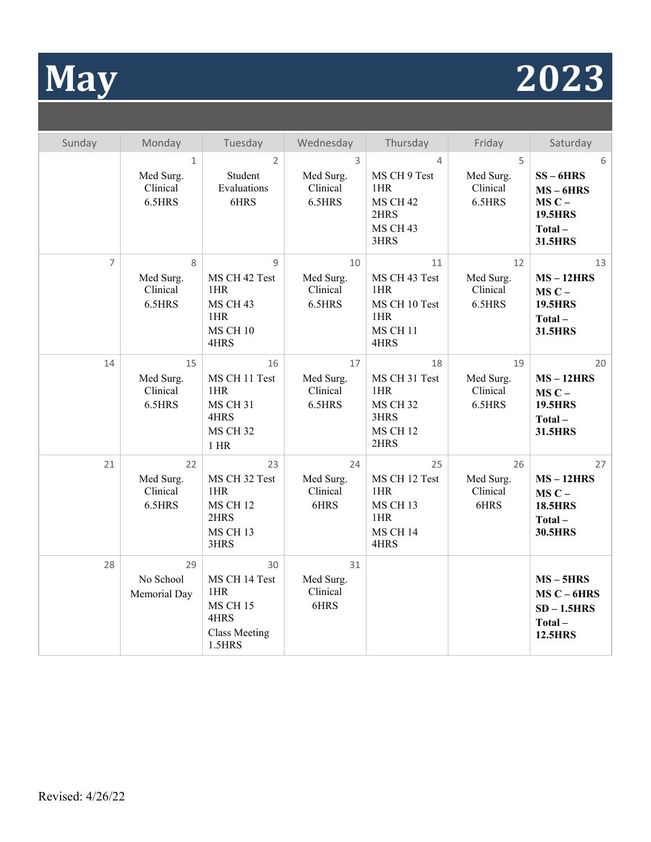# **May 2023**

| Sunday         | Monday                                          | Tuesday                                                                                 | Wednesday                             | Thursday                                                                         | Friday                                | Saturday                                                                          |
|----------------|-------------------------------------------------|-----------------------------------------------------------------------------------------|---------------------------------------|----------------------------------------------------------------------------------|---------------------------------------|-----------------------------------------------------------------------------------|
|                | $\mathbf{1}$<br>Med Surg.<br>Clinical<br>6.5HRS | $\overline{2}$<br>Student<br>Evaluations<br>6HRS                                        | 3<br>Med Surg.<br>Clinical<br>6.5HRS  | 4<br>MS CH 9 Test<br>1HR<br><b>MS CH 42</b><br>2HRS<br>MS CH 43<br>3HRS          | 5<br>Med Surg.<br>Clinical<br>6.5HRS  | 6<br>$SS - 6HRS$<br>$MS - 6HRS$<br>$MSC -$<br><b>19.5HRS</b><br>Total-<br>31.5HRS |
| $\overline{7}$ | 8<br>Med Surg.<br>Clinical<br>6.5HRS            | 9<br>MS CH 42 Test<br>1HR<br>MS CH 43<br>1HR<br>MS CH 10<br>4HRS                        | 10<br>Med Surg.<br>Clinical<br>6.5HRS | 11<br>MS CH 43 Test<br>1HR<br>MS CH 10 Test<br>1HR<br>MS CH 11<br>4HRS           | 12<br>Med Surg.<br>Clinical<br>6.5HRS | 13<br>$MS - 12HRS$<br>$MSC -$<br><b>19.5HRS</b><br>Total-<br>31.5HRS              |
| 14             | 15<br>Med Surg.<br>Clinical<br>6.5HRS           | 16<br>MS CH 11 Test<br>1HR<br><b>MS CH 31</b><br>4HRS<br><b>MS CH 32</b><br>$1$ HR      | 17<br>Med Surg.<br>Clinical<br>6.5HRS | 18<br>MS CH 31 Test<br>1HR<br><b>MS CH 32</b><br>3HRS<br><b>MS CH 12</b><br>2HRS | 19<br>Med Surg.<br>Clinical<br>6.5HRS | 20<br>$MS - 12HRS$<br>$MSC -$<br><b>19.5HRS</b><br>Total-<br>31.5HRS              |
| 21             | 22<br>Med Surg.<br>Clinical<br>6.5HRS           | 23<br>MS CH 32 Test<br>1HR<br><b>MS CH 12</b><br>2HRS<br>MS CH <sub>13</sub><br>3HRS    | 24<br>Med Surg.<br>Clinical<br>6HRS   | 25<br>MS CH 12 Test<br>1HR<br>MS CH 13<br>1HR<br><b>MS CH 14</b><br>4HRS         | 26<br>Med Surg.<br>Clinical<br>6HRS   | 27<br>$MS - 12HRS$<br>$MSC -$<br><b>18.5HRS</b><br>Total-<br><b>30.5HRS</b>       |
| 28             | 29<br>No School<br>Memorial Day                 | 30<br>MS CH 14 Test<br>1HR<br><b>MS CH 15</b><br>4HRS<br><b>Class Meeting</b><br>1.5HRS | 31<br>Med Surg.<br>Clinical<br>6HRS   |                                                                                  |                                       | $MS - 5HRS$<br>$MS C - 6HRS$<br>$SD - 1.5HRS$<br>Total-<br><b>12.5HRS</b>         |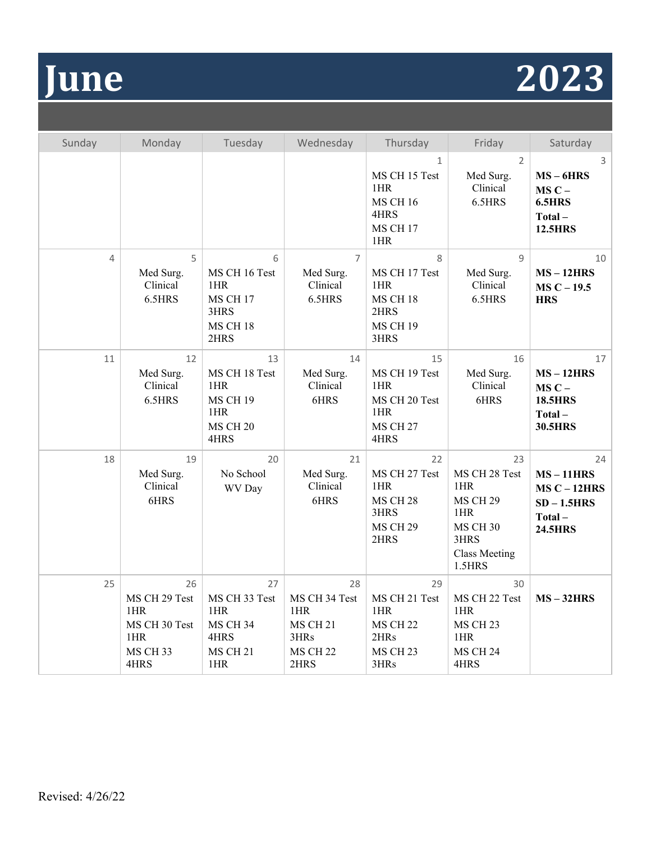

| Sunday         | Monday                                                                 | Tuesday                                                                         | Wednesday                                                                            | Thursday                                                                             | Friday                                                                                                            | Saturday                                                                         |
|----------------|------------------------------------------------------------------------|---------------------------------------------------------------------------------|--------------------------------------------------------------------------------------|--------------------------------------------------------------------------------------|-------------------------------------------------------------------------------------------------------------------|----------------------------------------------------------------------------------|
|                |                                                                        |                                                                                 |                                                                                      | $\mathbf{1}$<br>MS CH 15 Test<br>1HR<br><b>MS CH 16</b><br>4HRS<br>MS CH 17<br>1HR   | $\overline{2}$<br>Med Surg.<br>Clinical<br>6.5HRS                                                                 | 3<br>$MS - 6HRS$<br>$MSC -$<br>6.5HRS<br>Total-<br><b>12.5HRS</b>                |
| $\overline{4}$ | 5<br>Med Surg.<br>Clinical<br>6.5HRS                                   | 6<br>MS CH 16 Test<br>1HR<br>MS CH 17<br>3HRS<br><b>MS CH 18</b><br>2HRS        | $\overline{7}$<br>Med Surg.<br>Clinical<br>6.5HRS                                    | 8<br>MS CH 17 Test<br>1HR<br><b>MS CH 18</b><br>2HRS<br><b>MS CH 19</b><br>3HRS      | 9<br>Med Surg.<br>Clinical<br>6.5HRS                                                                              | 10<br>$MS - 12HRS$<br>$MS C - 19.5$<br><b>HRS</b>                                |
| 11             | 12<br>Med Surg.<br>Clinical<br>6.5HRS                                  | 13<br>MS CH 18 Test<br>1HR<br>MS CH 19<br>1HR<br><b>MS CH 20</b><br>4HRS        | 14<br>Med Surg.<br>Clinical<br>6HRS                                                  | 15<br>MS CH 19 Test<br>1HR<br>MS CH 20 Test<br>1HR<br><b>MS CH 27</b><br>4HRS        | 16<br>Med Surg.<br>Clinical<br>6HRS                                                                               | 17<br>$MS - 12HRS$<br>$MSC -$<br><b>18.5HRS</b><br>Total-<br><b>30.5HRS</b>      |
| 18             | 19<br>Med Surg.<br>Clinical<br>6HRS                                    | 20<br>No School<br>WV Day                                                       | 21<br>Med Surg.<br>Clinical<br>6HRS                                                  | 22<br>MS CH 27 Test<br>1HR<br><b>MS CH 28</b><br>3HRS<br><b>MS CH 29</b><br>2HRS     | 23<br>MS CH 28 Test<br>1HR<br><b>MS CH 29</b><br>1HR<br><b>MS CH 30</b><br>3HRS<br><b>Class Meeting</b><br>1.5HRS | 24<br>$MS - 11HRS$<br>$MSC - 12HRS$<br>$SD - 1.5HRS$<br>Total-<br><b>24.5HRS</b> |
| 25             | 26<br>MS CH 29 Test<br>1HR<br>MS CH 30 Test<br>1HR<br>MS CH 33<br>4HRS | 27<br>MS CH 33 Test<br>1HR<br><b>MS CH 34</b><br>4HRS<br><b>MS CH 21</b><br>1HR | 28<br>MS CH 34 Test<br>1HR<br>MS CH <sub>21</sub><br>3HRs<br><b>MS CH 22</b><br>2HRS | 29<br>MS CH 21 Test<br>1HR<br><b>MS CH 22</b><br>2HRs<br>MS CH <sub>23</sub><br>3HRs | 30<br>MS CH 22 Test<br>1HR<br>MS CH <sub>23</sub><br>1HR<br><b>MS CH 24</b><br>4HRS                               | $MS - 32HRS$                                                                     |